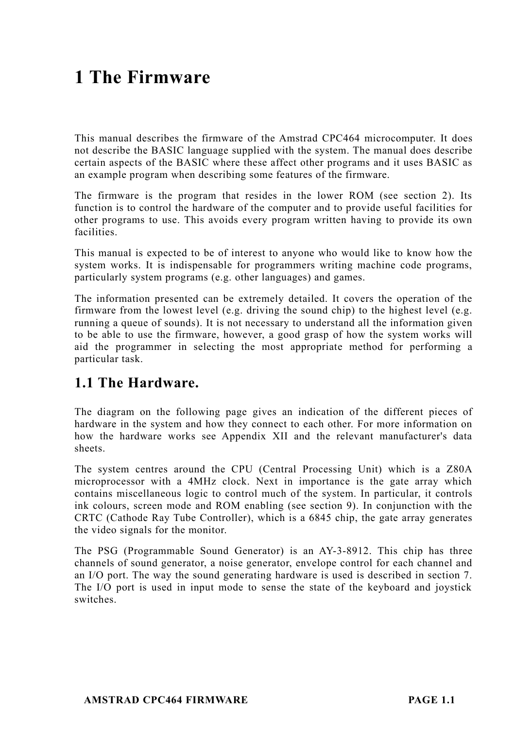# **1 The Firmware**

This manual describes the firmware of the Amstrad CPC464 microcomputer. It does not describe the BASIC language supplied with the system. The manual does describe certain aspects of the BASIC where these affect other programs and it uses BASIC as an example program when describing some features of the firmware.

The firmware is the program that resides in the lower ROM (see section 2). Its function is to control the hardware of the computer and to provide useful facilities for other programs to use. This avoids every program written having to provide its own facilities.

This manual is expected to be of interest to anyone who would like to know how the system works. It is indispensable for programmers writing machine code programs, particularly system programs (e.g. other languages) and games.

The information presented can be extremely detailed. It covers the operation of the firmware from the lowest level (e.g. driving the sound chip) to the highest level (e.g. running a queue of sounds). It is not necessary to understand all the information given to be able to use the firmware, however, a good grasp of how the system works will aid the programmer in selecting the most appropriate method for performing a particular task.

### **1.1 The Hardware.**

The diagram on the following page gives an indication of the different pieces of hardware in the system and how they connect to each other. For more information on how the hardware works see Appendix XII and the relevant manufacturer's data sheets.

The system centres around the CPU (Central Processing Unit) which is a Z80A microprocessor with a 4MHz clock. Next in importance is the gate array which contains miscellaneous logic to control much of the system. In particular, it controls ink colours, screen mode and ROM enabling (see section 9). In conjunction with the CRTC (Cathode Ray Tube Controller), which is a 6845 chip, the gate array generates the video signals for the monitor.

The PSG (Programmable Sound Generator) is an AY-3-8912. This chip has three channels of sound generator, a noise generator, envelope control for each channel and an I/O port. The way the sound generating hardware is used is described in section 7. The I/O port is used in input mode to sense the state of the keyboard and joystick switches.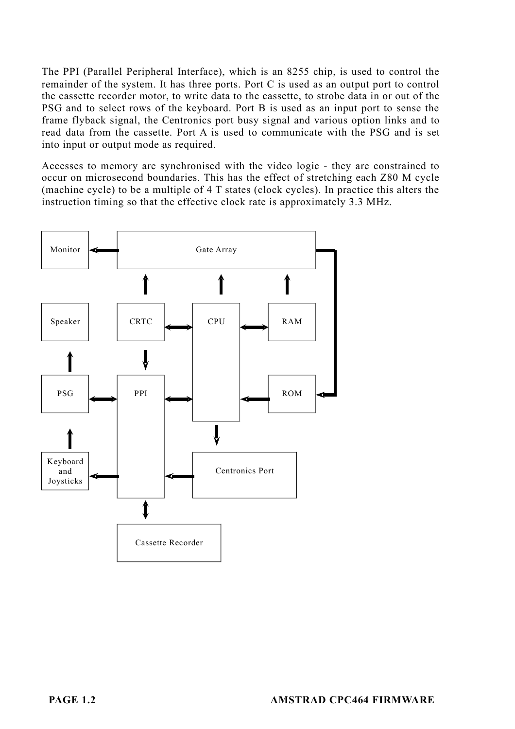The PPI (Parallel Peripheral Interface), which is an 8255 chip, is used to control the remainder of the system. It has three ports. Port C is used as an output port to control the cassette recorder motor, to write data to the cassette, to strobe data in or out of the PSG and to select rows of the keyboard. Port B is used as an input port to sense the frame flyback signal, the Centronics port busy signal and various option links and to read data from the cassette. Port A is used to communicate with the PSG and is set into input or output mode as required.

Accesses to memory are synchronised with the video logic - they are constrained to occur on microsecond boundaries. This has the effect of stretching each Z80 M cycle (machine cycle) to be a multiple of 4 T states (clock cycles). In practice this alters the instruction timing so that the effective clock rate is approximately 3.3 MHz.

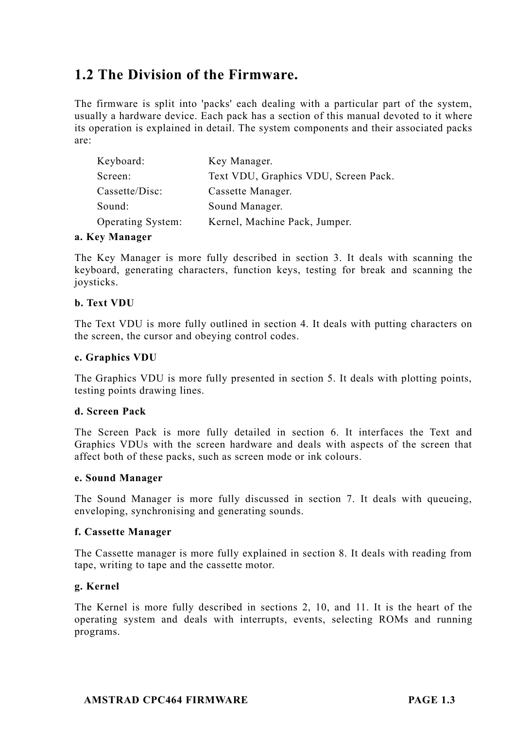## **1.2 The Division of the Firmware.**

The firmware is split into 'packs' each dealing with a particular part of the system, usually a hardware device. Each pack has a section of this manual devoted to it where its operation is explained in detail. The system components and their associated packs are:

| Keyboard:         | Key Manager.                         |
|-------------------|--------------------------------------|
| Screen:           | Text VDU, Graphics VDU, Screen Pack. |
| Cassette/Disc:    | Cassette Manager.                    |
| Sound:            | Sound Manager.                       |
| Operating System: | Kernel, Machine Pack, Jumper.        |

#### **a. Key Manager**

The Key Manager is more fully described in section 3. It deals with scanning the keyboard, generating characters, function keys, testing for break and scanning the joysticks.

### **b. Text VDU**

The Text VDU is more fully outlined in section 4. It deals with putting characters on the screen, the cursor and obeying control codes.

#### **c. Graphics VDU**

The Graphics VDU is more fully presented in section 5. It deals with plotting points, testing points drawing lines.

#### **d. Screen Pack**

The Screen Pack is more fully detailed in section 6. It interfaces the Text and Graphics VDUs with the screen hardware and deals with aspects of the screen that affect both of these packs, such as screen mode or ink colours.

#### **e. Sound Manager**

The Sound Manager is more fully discussed in section 7. It deals with queueing, enveloping, synchronising and generating sounds.

### **f. Cassette Manager**

The Cassette manager is more fully explained in section 8. It deals with reading from tape, writing to tape and the cassette motor.

#### **g. Kernel**

The Kernel is more fully described in sections 2, 10, and 11. It is the heart of the operating system and deals with interrupts, events, selecting ROMs and running programs.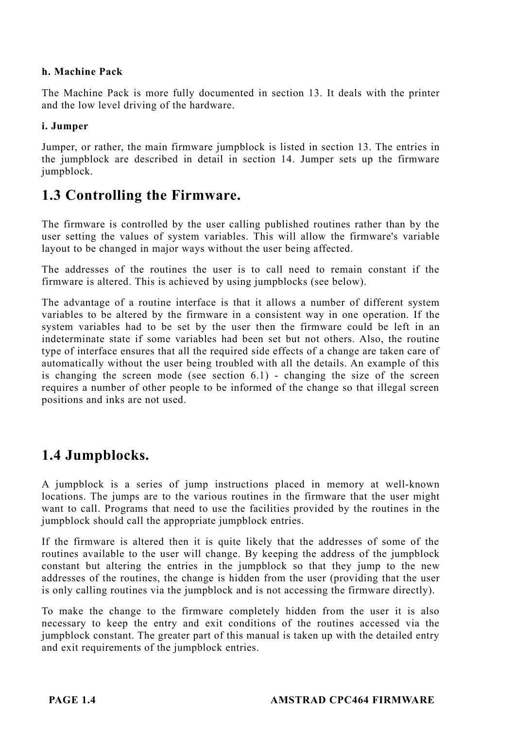### **h. Machine Pack**

The Machine Pack is more fully documented in section 13. It deals with the printer and the low level driving of the hardware.

### **i. Jumper**

Jumper, or rather, the main firmware jumpblock is listed in section 13. The entries in the jumpblock are described in detail in section 14. Jumper sets up the firmware jumpblock.

### **1.3 Controlling the Firmware.**

The firmware is controlled by the user calling published routines rather than by the user setting the values of system variables. This will allow the firmware's variable layout to be changed in major ways without the user being affected.

The addresses of the routines the user is to call need to remain constant if the firmware is altered. This is achieved by using jumpblocks (see below).

The advantage of a routine interface is that it allows a number of different system variables to be altered by the firmware in a consistent way in one operation. If the system variables had to be set by the user then the firmware could be left in an indeterminate state if some variables had been set but not others. Also, the routine type of interface ensures that all the required side effects of a change are taken care of automatically without the user being troubled with all the details. An example of this is changing the screen mode (see section 6.1) - changing the size of the screen requires a number of other people to be informed of the change so that illegal screen positions and inks are not used.

### **1.4 Jumpblocks.**

A jumpblock is a series of jump instructions placed in memory at well-known locations. The jumps are to the various routines in the firmware that the user might want to call. Programs that need to use the facilities provided by the routines in the jumpblock should call the appropriate jumpblock entries.

If the firmware is altered then it is quite likely that the addresses of some of the routines available to the user will change. By keeping the address of the jumpblock constant but altering the entries in the jumpblock so that they jump to the new addresses of the routines, the change is hidden from the user (providing that the user is only calling routines via the jumpblock and is not accessing the firmware directly).

To make the change to the firmware completely hidden from the user it is also necessary to keep the entry and exit conditions of the routines accessed via the jumpblock constant. The greater part of this manual is taken up with the detailed entry and exit requirements of the jumpblock entries.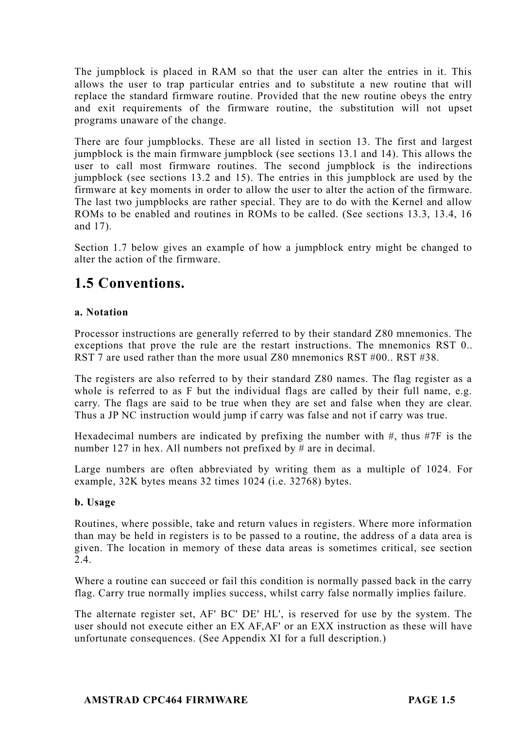The jumpblock is placed in RAM so that the user can alter the entries in it. This allows the user to trap particular entries and to substitute a new routine that will replace the standard firmware routine. Provided that the new routine obeys the entry and exit requirements of the firmware routine, the substitution will not upset programs unaware of the change.

There are four jumpblocks. These are all listed in section 13. The first and largest jumpblock is the main firmware jumpblock (see sections 13.1 and 14). This allows the user to call most firmware routines. The second jumpblock is the indirections jumpblock (see sections 13.2 and 15). The entries in this jumpblock are used by the firmware at key moments in order to allow the user to alter the action of the firmware. The last two jumpblocks are rather special. They are to do with the Kernel and allow ROMs to be enabled and routines in ROMs to be called. (See sections 13.3, 13.4, 16 and 17).

Section 1.7 below gives an example of how a jumpblock entry might be changed to alter the action of the firmware.

### **1.5 Conventions.**

### **a. Notation**

Processor instructions are generally referred to by their standard Z80 mnemonics. The exceptions that prove the rule are the restart instructions. The mnemonics RST 0.. RST 7 are used rather than the more usual Z80 mnemonics RST #00.. RST #38.

The registers are also referred to by their standard Z80 names. The flag register as a whole is referred to as F but the individual flags are called by their full name, e.g. carry. The flags are said to be true when they are set and false when they are clear. Thus a JP NC instruction would jump if carry was false and not if carry was true.

Hexadecimal numbers are indicated by prefixing the number with  $#$ , thus  $#7F$  is the number 127 in hex. All numbers not prefixed by # are in decimal.

Large numbers are often abbreviated by writing them as a multiple of 1024. For example, 32K bytes means 32 times 1024 (i.e. 32768) bytes.

### **b. Usage**

Routines, where possible, take and return values in registers. Where more information than may be held in registers is to be passed to a routine, the address of a data area is given. The location in memory of these data areas is sometimes critical, see section 2.4.

Where a routine can succeed or fail this condition is normally passed back in the carry flag. Carry true normally implies success, whilst carry false normally implies failure.

The alternate register set, AF' BC' DE' HL', is reserved for use by the system. The user should not execute either an EX AF,AF' or an EXX instruction as these will have unfortunate consequences. (See Appendix XI for a full description.)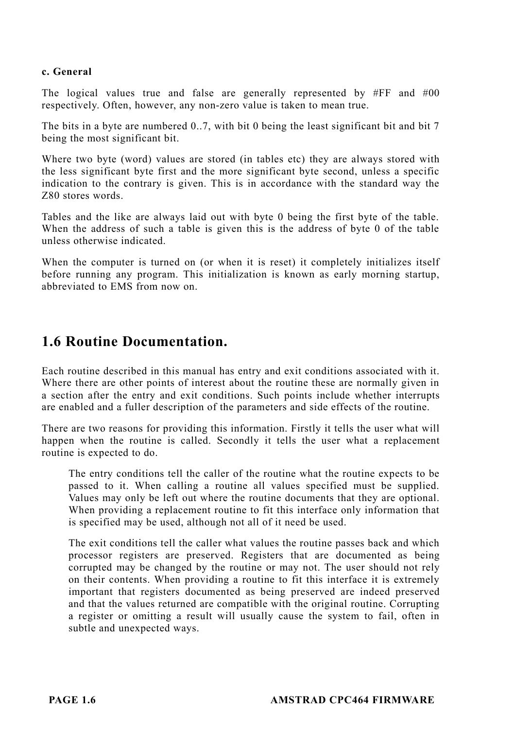### **c. General**

The logical values true and false are generally represented by #FF and #00 respectively. Often, however, any non-zero value is taken to mean true.

The bits in a byte are numbered 0..7, with bit 0 being the least significant bit and bit 7 being the most significant bit.

Where two byte (word) values are stored (in tables etc) they are always stored with the less significant byte first and the more significant byte second, unless a specific indication to the contrary is given. This is in accordance with the standard way the Z80 stores words.

Tables and the like are always laid out with byte 0 being the first byte of the table. When the address of such a table is given this is the address of byte 0 of the table unless otherwise indicated.

When the computer is turned on (or when it is reset) it completely initializes itself before running any program. This initialization is known as early morning startup, abbreviated to EMS from now on.

### **1.6 Routine Documentation.**

Each routine described in this manual has entry and exit conditions associated with it. Where there are other points of interest about the routine these are normally given in a section after the entry and exit conditions. Such points include whether interrupts are enabled and a fuller description of the parameters and side effects of the routine.

There are two reasons for providing this information. Firstly it tells the user what will happen when the routine is called. Secondly it tells the user what a replacement routine is expected to do.

The entry conditions tell the caller of the routine what the routine expects to be passed to it. When calling a routine all values specified must be supplied. Values may only be left out where the routine documents that they are optional. When providing a replacement routine to fit this interface only information that is specified may be used, although not all of it need be used.

The exit conditions tell the caller what values the routine passes back and which processor registers are preserved. Registers that are documented as being corrupted may be changed by the routine or may not. The user should not rely on their contents. When providing a routine to fit this interface it is extremely important that registers documented as being preserved are indeed preserved and that the values returned are compatible with the original routine. Corrupting a register or omitting a result will usually cause the system to fail, often in subtle and unexpected ways.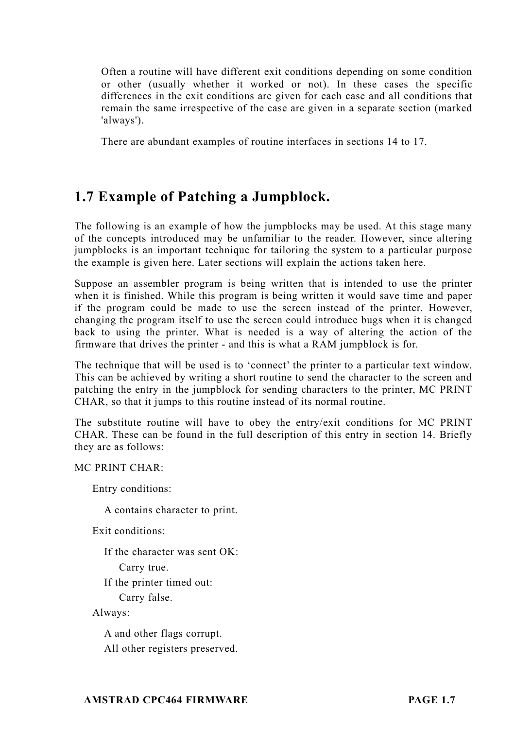Often a routine will have different exit conditions depending on some condition or other (usually whether it worked or not). In these cases the specific differences in the exit conditions are given for each case and all conditions that remain the same irrespective of the case are given in a separate section (marked 'always').

There are abundant examples of routine interfaces in sections 14 to 17.

## **1.7 Example of Patching a Jumpblock.**

The following is an example of how the jumpblocks may be used. At this stage many of the concepts introduced may be unfamiliar to the reader. However, since altering jumpblocks is an important technique for tailoring the system to a particular purpose the example is given here. Later sections will explain the actions taken here.

Suppose an assembler program is being written that is intended to use the printer when it is finished. While this program is being written it would save time and paper if the program could be made to use the screen instead of the printer. However, changing the program itself to use the screen could introduce bugs when it is changed back to using the printer. What is needed is a way of altering the action of the firmware that drives the printer - and this is what a RAM jumpblock is for.

The technique that will be used is to 'connect' the printer to a particular text window. This can be achieved by writing a short routine to send the character to the screen and patching the entry in the jumpblock for sending characters to the printer, MC PRINT CHAR, so that it jumps to this routine instead of its normal routine.

The substitute routine will have to obey the entry/exit conditions for MC PRINT CHAR. These can be found in the full description of this entry in section 14. Briefly they are as follows:

MC PRINT CHAR:

Entry conditions:

A contains character to print.

Exit conditions:

If the character was sent OK:

Carry true.

If the printer timed out:

Carry false.

Always:

A and other flags corrupt. All other registers preserved.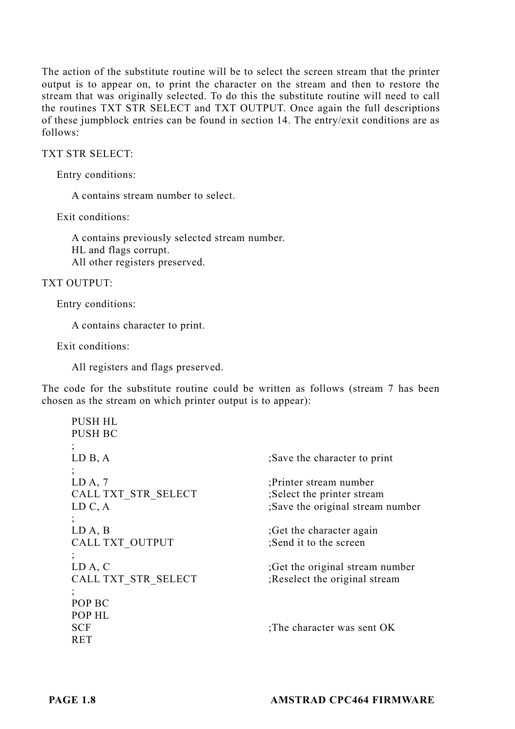The action of the substitute routine will be to select the screen stream that the printer output is to appear on, to print the character on the stream and then to restore the stream that was originally selected. To do this the substitute routine will need to call the routines TXT STR SELECT and TXT OUTPUT. Once again the full descriptions of these jumpblock entries can be found in section 14. The entry/exit conditions are as follows:

### TXT STR SELECT:

Entry conditions:

A contains stream number to select.

Exit conditions:

A contains previously selected stream number. HL and flags corrupt. All other registers preserved.

### TXT OUTPUT:

Entry conditions:

A contains character to print.

Exit conditions:

All registers and flags preserved.

The code for the substitute routine could be written as follows (stream 7 has been chosen as the stream on which printer output is to appear):

| <b>PUSH HL</b>      |                                  |
|---------------------|----------------------------------|
| <b>PUSH BC</b>      |                                  |
| $\cdot$             |                                  |
| LD B, A             | Save the character to print      |
| $\ddot{ }$ ,        |                                  |
| LD A, 7             | :Printer stream number           |
| CALL TXT STR SELECT | ;Select the printer stream       |
| LD C, A             | ;Save the original stream number |
|                     |                                  |
| LD A, B             | Get the character again          |
| CALL TXT OUTPUT     | Send it to the screen            |
|                     |                                  |
| LD A, C             | ; Get the original stream number |
| CALL TXT STR SELECT | ; Reselect the original stream   |
|                     |                                  |
| POP BC              |                                  |
| POP HL              |                                  |
| <b>SCF</b>          | The character was sent OK        |
| RET                 |                                  |
|                     |                                  |